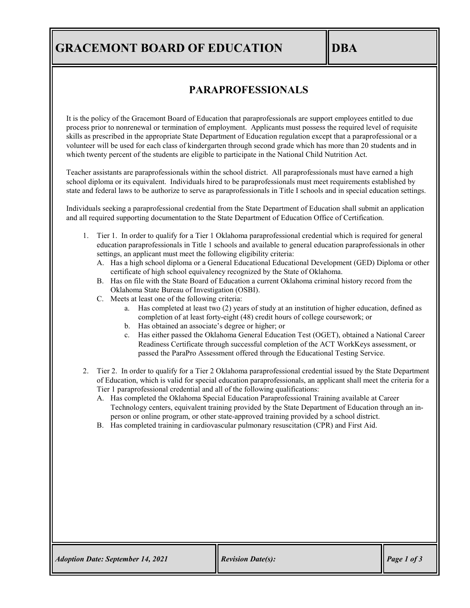## **GRACEMONT BOARD OF EDUCATION IDBA**

## **PARAPROFESSIONALS**

It is the policy of the Gracemont Board of Education that paraprofessionals are support employees entitled to due process prior to nonrenewal or termination of employment. Applicants must possess the required level of requisite skills as prescribed in the appropriate State Department of Education regulation except that a paraprofessional or a volunteer will be used for each class of kindergarten through second grade which has more than 20 students and in which twenty percent of the students are eligible to participate in the National Child Nutrition Act.

Teacher assistants are paraprofessionals within the school district. All paraprofessionals must have earned a high school diploma or its equivalent. Individuals hired to be paraprofessionals must meet requirements established by state and federal laws to be authorize to serve as paraprofessionals in Title I schools and in special education settings.

Individuals seeking a paraprofessional credential from the State Department of Education shall submit an application and all required supporting documentation to the State Department of Education Office of Certification.

- 1. Tier 1. In order to qualify for a Tier 1 Oklahoma paraprofessional credential which is required for general education paraprofessionals in Title 1 schools and available to general education paraprofessionals in other settings, an applicant must meet the following eligibility criteria:
	- A. Has a high school diploma or a General Educational Educational Development (GED) Diploma or other certificate of high school equivalency recognized by the State of Oklahoma.
	- B. Has on file with the State Board of Education a current Oklahoma criminal history record from the Oklahoma State Bureau of Investigation (OSBI).
	- C. Meets at least one of the following criteria:
		- a. Has completed at least two (2) years of study at an institution of higher education, defined as completion of at least forty-eight (48) credit hours of college coursework; or
		- b. Has obtained an associate's degree or higher; or
		- c. Has either passed the Oklahoma General Education Test (OGET), obtained a National Career Readiness Certificate through successful completion of the ACT WorkKeys assessment, or passed the ParaPro Assessment offered through the Educational Testing Service.
- 2. Tier 2. In order to qualify for a Tier 2 Oklahoma paraprofessional credential issued by the State Department of Education, which is valid for special education paraprofessionals, an applicant shall meet the criteria for a Tier 1 paraprofessional credential and all of the following qualifications:
	- A. Has completed the Oklahoma Special Education Paraprofessional Training available at Career Technology centers, equivalent training provided by the State Department of Education through an inperson or online program, or other state-approved training provided by a school district.
	- B. Has completed training in cardiovascular pulmonary resuscitation (CPR) and First Aid.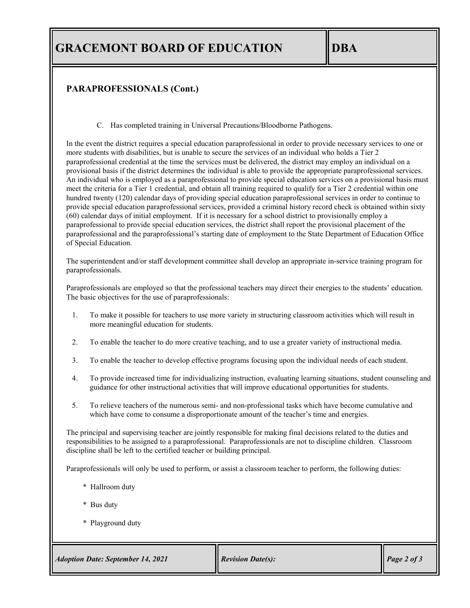## **GRACEMONT BOARD OF EDUCATION DBA**

### **PARAPROFESSIONALS (Cont.)**

C. Has completed training in Universal Precautions/Bloodborne Pathogens.

In the event the district requires a special education paraprofessional in order to provide necessary services to one or more students with disabilities, but is unable to secure the services of an individual who holds a Tier 2 paraprofessional credential at the time the services must be delivered, the district may employ an individual on a provisional basis if the district determines the individual is able to provide the appropriate paraprofessional services. An individual who is employed as a paraprofessional to provide special education services on a provisional basis must meet the criteria for a Tier 1 credential, and obtain all training required to qualify for a Tier 2 credential within one hundred twenty (120) calendar days of providing special education paraprofessional services in order to continue to provide special education paraprofessional services, provided a criminal history record check is obtained within sixty (60) calendar days of initial employment. If it is necessary for a school district to provisionally employ a paraprofessional to provide special education services, the district shall report the provisional placement of the paraprofessional and the paraprofessional's starting date of employment to the State Department of Education Office of Special Education.

The superintendent and/or staff development committee shall develop an appropriate in-service training program for paraprofessionals.

Paraprofessionals are employed so that the professional teachers may direct their energies to the students' education. The basic objectives for the use of paraprofessionals:

- 1. To make it possible for teachers to use more variety in structuring classroom activities which will result in more meaningful education for students.
- 2. To enable the teacher to do more creative teaching, and to use a greater variety of instructional media.
- 3. To enable the teacher to develop effective programs focusing upon the individual needs of each student.
- 4. To provide increased time for individualizing instruction, evaluating learning situations, student counseling and guidance for other instructional activities that will improve educational opportunities for students.
- 5. To relieve teachers of the numerous semi- and non-professional tasks which have become cumulative and which have come to consume a disproportionate amount of the teacher's time and energies.

The principal and supervising teacher are jointly responsible for making final decisions related to the duties and responsibilities to be assigned to a paraprofessional. Paraprofessionals are not to discipline children. Classroom discipline shall be left to the certified teacher or building principal.

Paraprofessionals will only be used to perform, or assist a classroom teacher to perform, the following duties:

- \* Hallroom duty
- \* Bus duty
- \* Playground duty